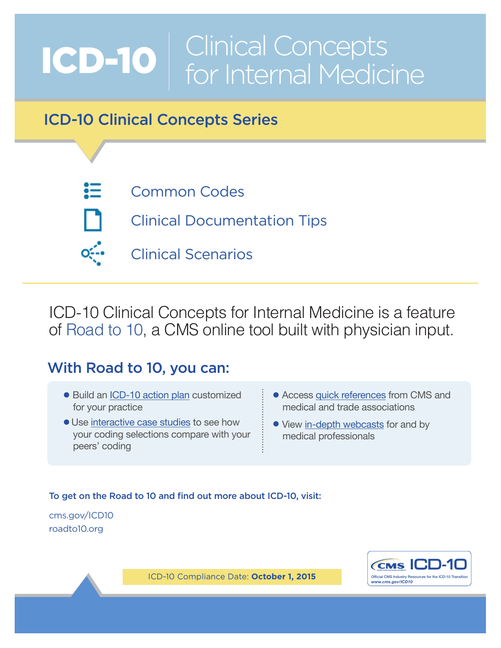# ICD-10 Clinical Concepts for Internal Medicine

# ICD-10 Clinical Concepts Series

- 這
- [Common Codes](#page-2-0)
- 
- [Clinical Documentation Tips](#page-8-0)
- [Clinical Scenarios](#page-13-0)

ICD-10 Clinical Concepts for Internal Medicine is a feature of [Road to 10,](http://www.roadto10.org/) a CMS online tool built with physician input.

# With Road to 10, you can:

- Build an [ICD-10 action plan](http://www.roadto10.org/action-plan/get-started/) customized for your practice
- Use [interactive case studies](http://www.roadto10.org/ics/) to see how your coding selections compare with your peers' coding
- Access [quick references](http://www.roadto10.org/quick-references/) from CMS and medical and trade associations
- View [in-depth webcasts](http://www.roadto10.org/webcasts/) for and by medical professionals

### To get on the Road to 10 and find out more about ICD-10, visit:

[cms.gov/ICD10](https://www.cms.gov/Medicare/Coding/ICD10/index.html?redirect=/ICD10) [roadto10.org](http://www.roadto10.org/)



*ICD-10 Compliance Date: October 1, 2015*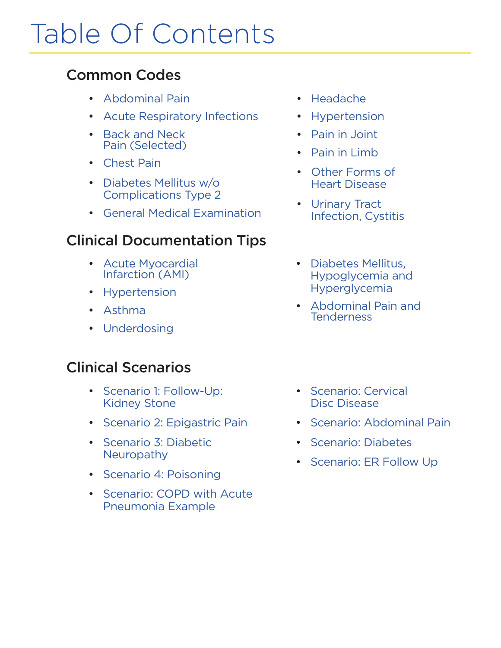# Table Of Contents

## [Common Codes](#page-2-0)

- [Abdominal Pain](#page-2-1)
- [Acute Respiratory Infections](#page-3-0)
- [Back and Neck](#page-3-1) [Pain \(Selected\)](#page-3-1)
- [Chest Pain](#page-4-0)
- [Diabetes Mellitus w/o](#page-4-1)  [Complications Type 2](#page-4-1)
- [General Medical Examination](#page-4-2)

## [Clinical Documentation](#page-8-0) Tips

- [Acute Myocardial](#page-8-1) [Infarction \(AMI\)](#page-8-1)
- [Hypertension](#page-9-0)
- [Asthma](#page-9-1)
- [Underdosing](#page-10-0)

## Clinical Scenarios

- [Scenario 1: Follow-Up:](#page-13-1) [Kidney Stone](#page-13-1)
- [Scenario 2: Epigastric Pain](#page-15-0)
- [Scenario 3: Diabetic](#page-17-0)  **[Neuropathy](#page-17-0)**
- [Scenario 4: Poisoning](#page-19-0)
- [Scenario: COPD with Acute](#page-21-0)  [Pneumonia Example](#page-21-0)
- [Headache](#page-4-3)
- [Hypertension](#page-4-4)
- [Pain in Joint](#page-5-0)
- [Pain in Limb](#page-6-0)
- [Other Forms of](#page-7-0) [Heart Disease](#page-7-0)
- [Urinary Tract](#page-7-1) [Infection, Cystitis](#page-7-1)
- [Diabetes Mellitus,](#page-11-0)  [Hypoglycemia and](#page-11-0)  [Hyperglycemia](#page-11-0)
- [Abdominal Pain and](#page-12-0)  **[Tenderness](#page-12-0)**
- [Scenario: Cervical](#page-23-0) [Disc Disease](#page-23-0)
- [Scenario: Abdominal Pain](#page-25-0)
- [Scenario: Diabetes](#page-27-0)
- [Scenario: ER Follow Up](#page-29-0)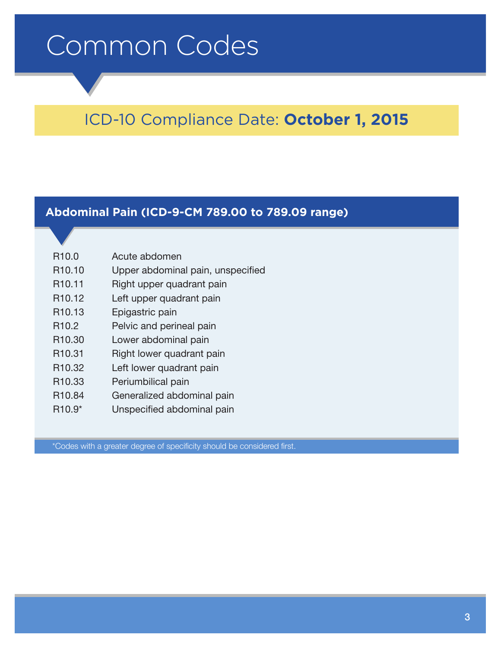# <span id="page-2-0"></span>Common Codes

# ICD-10 Compliance Date: **October 1, 2015**

### <span id="page-2-1"></span>**Abdominal Pain (ICD-9-CM 789.00 to 789.09 range)**

| R <sub>10.0</sub>              | Acute abdomen                     |
|--------------------------------|-----------------------------------|
| R <sub>10.10</sub>             | Upper abdominal pain, unspecified |
| R <sub>10.11</sub>             | Right upper quadrant pain         |
| R <sub>10.12</sub>             | Left upper quadrant pain          |
| R <sub>10.13</sub>             | Epigastric pain                   |
| R <sub>10.2</sub>              | Pelvic and perineal pain          |
| R <sub>10.30</sub>             | Lower abdominal pain              |
| R <sub>10.31</sub>             | Right lower quadrant pain         |
| R <sub>10.32</sub>             | Left lower quadrant pain          |
| R <sub>10.33</sub>             | Periumbilical pain                |
| R <sub>10.84</sub>             | Generalized abdominal pain        |
| R <sub>10.9</sub> <sup>*</sup> | Unspecified abdominal pain        |
|                                |                                   |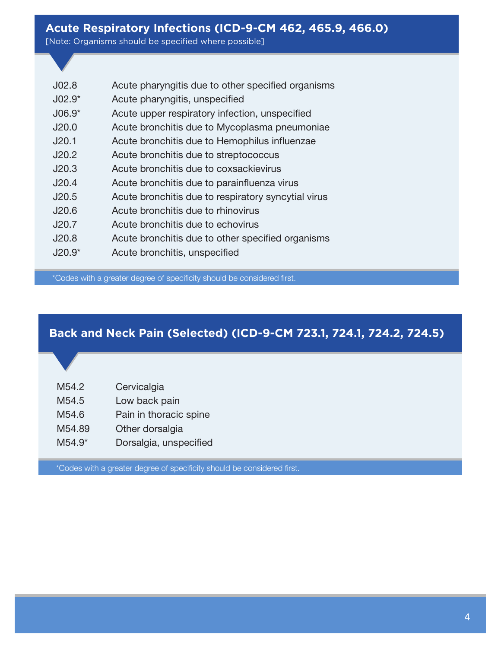### <span id="page-3-0"></span>**Acute Respiratory Infections (ICD-9-CM 462, 465.9, 466.0)**

[Note: Organisms should be specified where possible]

| J <sub>02.8</sub> | Acute pharyngitis due to other specified organisms  |
|-------------------|-----------------------------------------------------|
| $J02.9*$          | Acute pharyngitis, unspecified                      |
| $J06.9*$          | Acute upper respiratory infection, unspecified      |
| J20.0             | Acute bronchitis due to Mycoplasma pneumoniae       |
| J20.1             | Acute bronchitis due to Hemophilus influenzae       |
| J20.2             | Acute bronchitis due to streptococcus               |
| J20.3             | Acute bronchitis due to coxsackievirus              |
| J20.4             | Acute bronchitis due to parainfluenza virus         |
| J20.5             | Acute bronchitis due to respiratory syncytial virus |
| J20.6             | Acute bronchitis due to rhinovirus                  |
| J20.7             | Acute bronchitis due to echovirus                   |
| J20.8             | Acute bronchitis due to other specified organisms   |
| $J20.9*$          | Acute bronchitis, unspecified                       |

\*Codes with a greater degree of specificity should be considered first.

### <span id="page-3-1"></span>**Back and Neck Pain (Selected) (ICD-9-CM 723.1, 724.1, 724.2, 724.5)**

| M54.2 | Cervicalgia |
|-------|-------------|
|-------|-------------|

- M54.5 Low back pain
- M54.6 Pain in thoracic spine
- M54.89 Other dorsalgia
- M54.9\* Dorsalgia, unspecified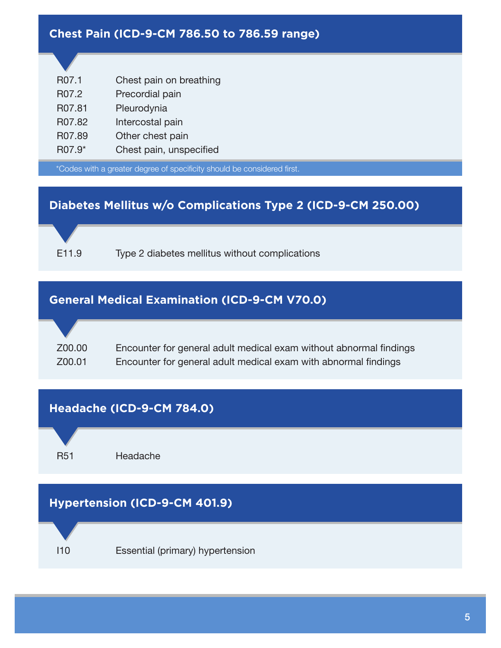### <span id="page-4-0"></span>**Chest Pain (ICD-9-CM 786.50 to 786.59 range)**

| R07.1  | Chest pain on breathing |
|--------|-------------------------|
| R07.2  | Precordial pain         |
| R07.81 | Pleurodynia             |
| R07.82 | Intercostal pain        |
| R07.89 | Other chest pain        |
| R07.9* | Chest pain, unspecified |
|        |                         |

\*Codes with a greater degree of specificity should be considered first.

### <span id="page-4-1"></span>**Diabetes Mellitus w/o Complications Type 2 (ICD-9-CM 250.00)**



E11.9 Type 2 diabetes mellitus without complications

### <span id="page-4-2"></span>**General Medical Examination (ICD-9-CM V70.0)**

Z00.00 Encounter for general adult medical exam without abnormal findings Z00.01 Encounter for general adult medical exam with abnormal findings

<span id="page-4-4"></span><span id="page-4-3"></span>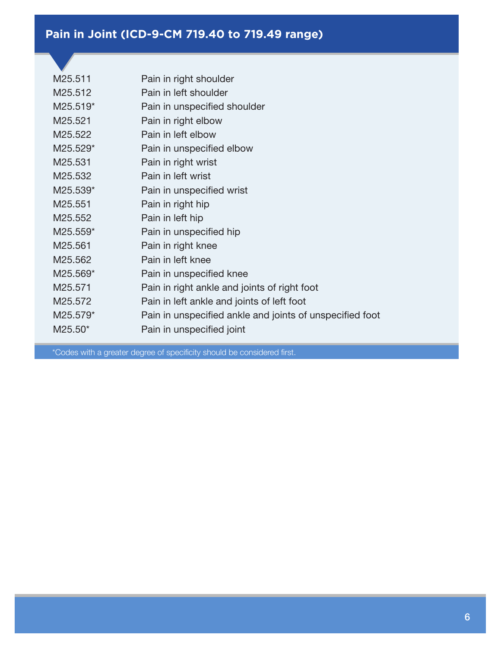### <span id="page-5-0"></span>**Pain in Joint (ICD-9-CM 719.40 to 719.49 range)**

| M25.511  | Pain in right shoulder                                   |
|----------|----------------------------------------------------------|
| M25.512  | Pain in left shoulder                                    |
| M25.519* | Pain in unspecified shoulder                             |
| M25.521  | Pain in right elbow                                      |
| M25.522  | Pain in left elbow                                       |
| M25.529* | Pain in unspecified elbow                                |
| M25.531  | Pain in right wrist                                      |
| M25.532  | Pain in left wrist                                       |
| M25.539* | Pain in unspecified wrist                                |
| M25.551  | Pain in right hip                                        |
| M25.552  | Pain in left hip                                         |
| M25.559* | Pain in unspecified hip                                  |
| M25.561  | Pain in right knee                                       |
| M25.562  | Pain in left knee                                        |
| M25.569* | Pain in unspecified knee                                 |
| M25.571  | Pain in right ankle and joints of right foot             |
| M25.572  | Pain in left ankle and joints of left foot               |
| M25.579* | Pain in unspecified ankle and joints of unspecified foot |
| M25.50*  | Pain in unspecified joint                                |
|          |                                                          |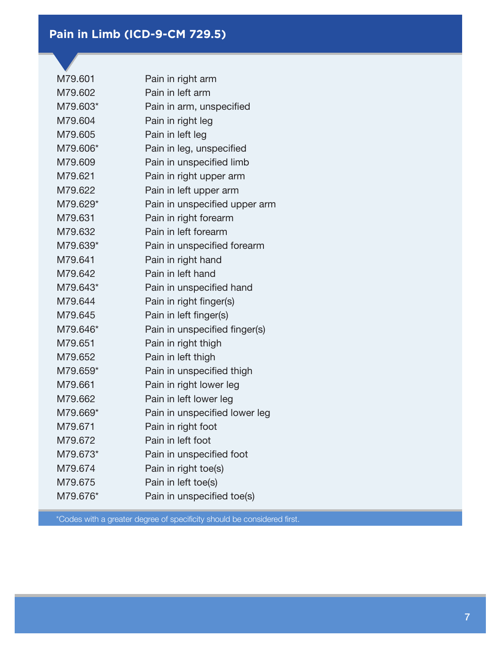### <span id="page-6-0"></span>**Pain in Limb (ICD-9-CM 729.5)**

| M79.601  | Pain in right arm             |
|----------|-------------------------------|
| M79.602  | Pain in left arm              |
| M79.603* | Pain in arm, unspecified      |
| M79.604  | Pain in right leg             |
| M79.605  | Pain in left leg              |
| M79.606* | Pain in leg, unspecified      |
| M79.609  | Pain in unspecified limb      |
| M79.621  | Pain in right upper arm       |
| M79.622  | Pain in left upper arm        |
| M79.629* | Pain in unspecified upper arm |
| M79.631  | Pain in right forearm         |
| M79.632  | Pain in left forearm          |
| M79.639* | Pain in unspecified forearm   |
| M79.641  | Pain in right hand            |
| M79.642  | Pain in left hand             |
| M79.643* | Pain in unspecified hand      |
| M79.644  | Pain in right finger(s)       |
| M79.645  | Pain in left finger(s)        |
| M79.646* | Pain in unspecified finger(s) |
| M79.651  | Pain in right thigh           |
| M79.652  | Pain in left thigh            |
| M79.659* | Pain in unspecified thigh     |
| M79.661  | Pain in right lower leg       |
| M79.662  | Pain in left lower leg        |
| M79.669* | Pain in unspecified lower leg |
| M79.671  | Pain in right foot            |
| M79.672  | Pain in left foot             |
| M79.673* | Pain in unspecified foot      |
| M79.674  | Pain in right toe(s)          |
| M79.675  | Pain in left toe(s)           |
| M79.676* | Pain in unspecified toe(s)    |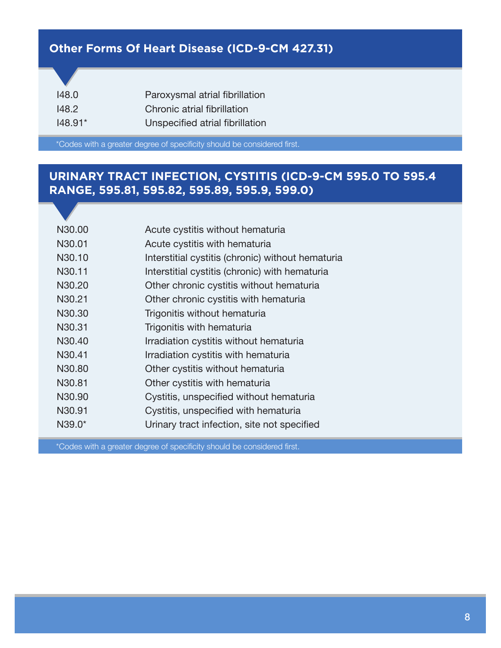### <span id="page-7-0"></span>**Other Forms Of Heart Disease (ICD-9-CM 427.31)**

| 148.0        | Paroxysmal atrial fibrillation  |
|--------------|---------------------------------|
| <u>148.2</u> | Chronic atrial fibrillation     |
| $148.91*$    | Unspecified atrial fibrillation |

\*Codes with a greater degree of specificity should be considered first.

### <span id="page-7-1"></span>**URINARY TRACT INFECTION, CYSTITIS (ICD-9-CM 595.0 TO 595.4 RANGE, 595.81, 595.82, 595.89, 595.9, 599.0)**

| N30.00   | Acute cystitis without hematuria                  |
|----------|---------------------------------------------------|
| N30.01   | Acute cystitis with hematuria                     |
| N30.10   | Interstitial cystitis (chronic) without hematuria |
| N30.11   | Interstitial cystitis (chronic) with hematuria    |
| N30.20   | Other chronic cystitis without hematuria          |
| N30.21   | Other chronic cystitis with hematuria             |
| N30.30   | Trigonitis without hematuria                      |
| N30.31   | Trigonitis with hematuria                         |
| N30.40   | Irradiation cystitis without hematuria            |
| N30.41   | Irradiation cystitis with hematuria               |
| N30.80   | Other cystitis without hematuria                  |
| N30.81   | Other cystitis with hematuria                     |
| N30.90   | Cystitis, unspecified without hematuria           |
| N30.91   | Cystitis, unspecified with hematuria              |
| $N39.0*$ | Urinary tract infection, site not specified       |
|          |                                                   |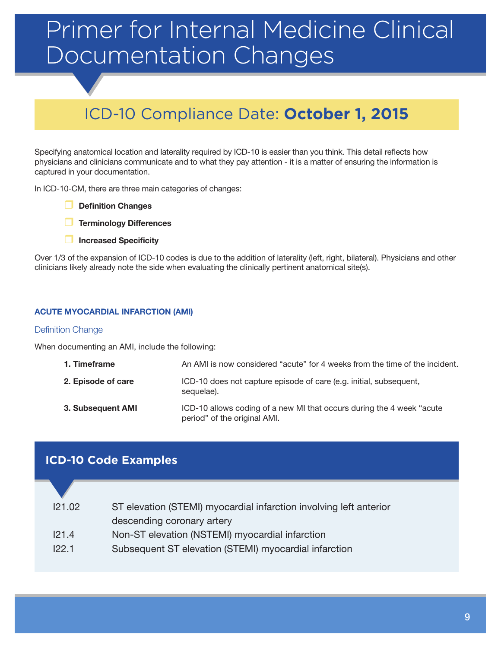# <span id="page-8-0"></span>Primer for Internal Medicine Clinical Documentation Changes

# ICD-10 Compliance Date: **October 1, 2015**

Specifying anatomical location and laterality required by ICD-10 is easier than you think. This detail reflects how physicians and clinicians communicate and to what they pay attention - it is a matter of ensuring the information is captured in your documentation.

In ICD-10-CM, there are three main categories of changes:

- **Definition Changes**
- **Terminology Differences**
- **Increased Specificity**

Over 1/3 of the expansion of ICD-10 codes is due to the addition of laterality (left, right, bilateral). Physicians and other clinicians likely already note the side when evaluating the clinically pertinent anatomical site(s).

#### <span id="page-8-1"></span>**ACUTE MYOCARDIAL INFARCTION (AMI)**

#### Definition Change

When documenting an AMI, include the following:

| 1. Timeframe       | An AMI is now considered "acute" for 4 weeks from the time of the incident.                            |
|--------------------|--------------------------------------------------------------------------------------------------------|
| 2. Episode of care | ICD-10 does not capture episode of care (e.g. initial, subsequent,<br>sequelae).                       |
| 3. Subsequent AMI  | ICD-10 allows coding of a new MI that occurs during the 4 week "acute"<br>period" of the original AMI. |

### **ICD-10 Code Examples**

| 121.02 | ST elevation (STEMI) myocardial infarction involving left anterior |
|--------|--------------------------------------------------------------------|
|        | descending coronary artery                                         |
| 121.4  | Non-ST elevation (NSTEMI) myocardial infarction                    |
| 122.1  | Subsequent ST elevation (STEMI) myocardial infarction              |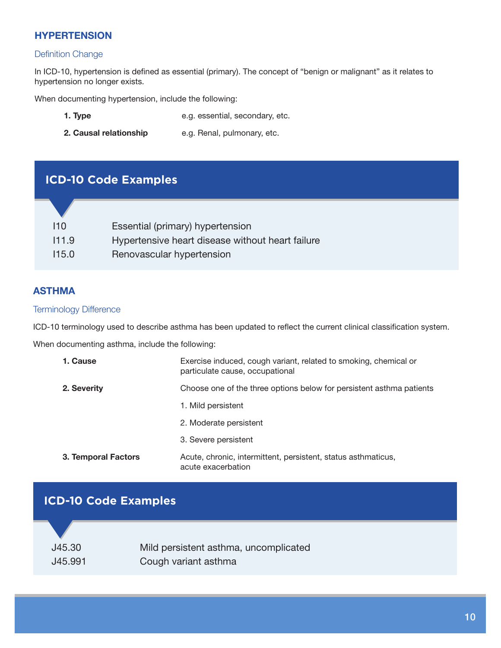### <span id="page-9-0"></span>**HYPERTENSION**

#### Definition Change

In ICD-10, hypertension is defined as essential (primary). The concept of "benign or malignant" as it relates to hypertension no longer exists.

When documenting hypertension, include the following:

- **1. Type** e.g. essential, secondary, etc.
- **2. Causal relationship** e.g. Renal, pulmonary, etc.

### **ICD-10 Code Examples**

| 110   | Essential (primary) hypertension                 |
|-------|--------------------------------------------------|
| 111.9 | Hypertensive heart disease without heart failure |
| 115.0 | Renovascular hypertension                        |
|       |                                                  |

#### <span id="page-9-1"></span>**ASTHMA**

#### Terminology Difference

ICD-10 terminology used to describe asthma has been updated to reflect the current clinical classification system.

When documenting asthma, include the following:

| 1. Cause            | Exercise induced, cough variant, related to smoking, chemical or<br>particulate cause, occupational |
|---------------------|-----------------------------------------------------------------------------------------------------|
| 2. Severity         | Choose one of the three options below for persistent asthma patients                                |
|                     | 1. Mild persistent                                                                                  |
|                     | 2. Moderate persistent                                                                              |
|                     | 3. Severe persistent                                                                                |
| 3. Temporal Factors | Acute, chronic, intermittent, persistent, status asthmaticus,<br>acute exacerbation                 |

| J45.30<br>Mild persistent asthma, uncomplicated | <b>ICD-10 Code Examples</b> |                      |  |  |
|-------------------------------------------------|-----------------------------|----------------------|--|--|
|                                                 | J45.991                     | Cough variant asthma |  |  |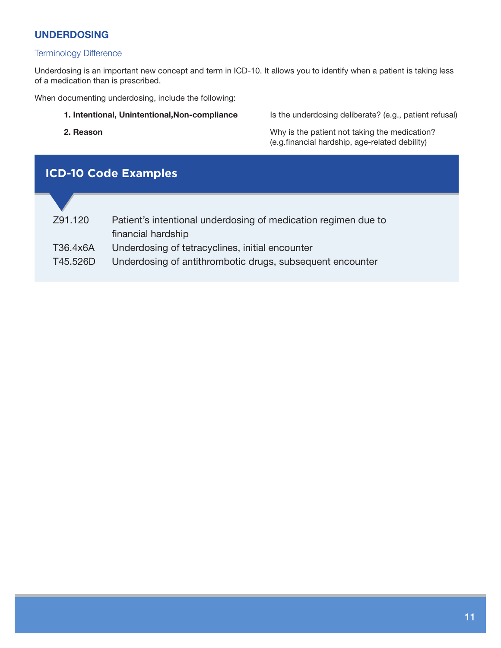#### <span id="page-10-0"></span>**UNDERDOSING**

#### Terminology Difference

Underdosing is an important new concept and term in ICD-10. It allows you to identify when a patient is taking less of a medication than is prescribed.

When documenting underdosing, include the following:

**1. Intentional, Unintentional,Non-compliance** Is the underdosing deliberate? (e.g., patient refusal)

**2. Reason** Why is the patient not taking the medication? (e.g.financial hardship, age-related debility)

# Z91.120 Patient's intentional underdosing of medication regimen due to financial hardship T36.4x6A Underdosing of tetracyclines, initial encounter T45.526D Underdosing of antithrombotic drugs, subsequent encounter **ICD-10 Code Examples**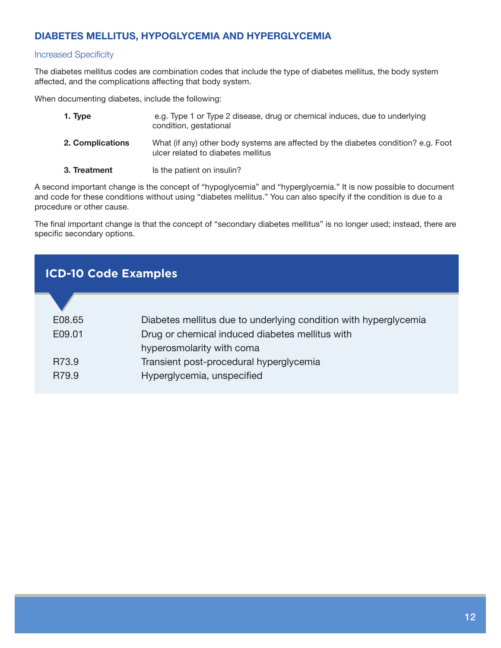### <span id="page-11-0"></span>**DIABETES MELLITUS, HYPOGLYCEMIA AND HYPERGLYCEMIA**

#### Increased Specificity

The diabetes mellitus codes are combination codes that include the type of diabetes mellitus, the body system affected, and the complications affecting that body system.

When documenting diabetes, include the following:

| 1. Type      |                  | e.g. Type 1 or Type 2 disease, drug or chemical induces, due to underlying<br>condition, gestational                     |
|--------------|------------------|--------------------------------------------------------------------------------------------------------------------------|
|              | 2. Complications | What (if any) other body systems are affected by the diabetes condition? e.g. Foot<br>ulcer related to diabetes mellitus |
| 3. Treatment |                  | Is the patient on insulin?                                                                                               |

A second important change is the concept of "hypoglycemia" and "hyperglycemia." It is now possible to document and code for these conditions without using "diabetes mellitus." You can also specify if the condition is due to a procedure or other cause.

The final important change is that the concept of "secondary diabetes mellitus" is no longer used; instead, there are specific secondary options.

| <b>ICD-10 Code Examples</b> |                                                                  |  |
|-----------------------------|------------------------------------------------------------------|--|
|                             |                                                                  |  |
| E08.65                      | Diabetes mellitus due to underlying condition with hyperglycemia |  |
| E09.01                      | Drug or chemical induced diabetes mellitus with                  |  |
|                             | hyperosmolarity with coma                                        |  |
| R73.9                       | Transient post-procedural hyperglycemia                          |  |
| R79.9                       | Hyperglycemia, unspecified                                       |  |
|                             |                                                                  |  |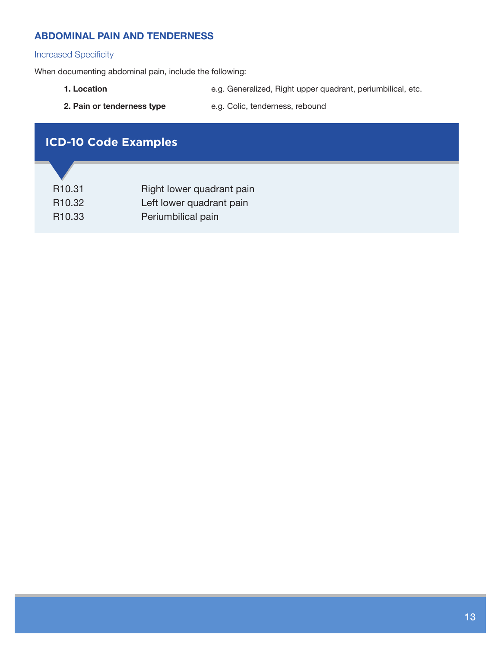#### <span id="page-12-0"></span>**ABDOMINAL PAIN AND TENDERNESS**

#### Increased Specificity

When documenting abdominal pain, include the following:

- **1. Location** e.g. Generalized, Right upper quadrant, periumbilical, etc.
- 
- 2. Pain or tenderness type e.g. Colic, tenderness, rebound

### **ICD-10 Code Examples**

| R <sub>10.31</sub> | Right lower quadrant pain |
|--------------------|---------------------------|
| R <sub>10.32</sub> | Left lower quadrant pain  |
| R <sub>10.33</sub> | Periumbilical pain        |
|                    |                           |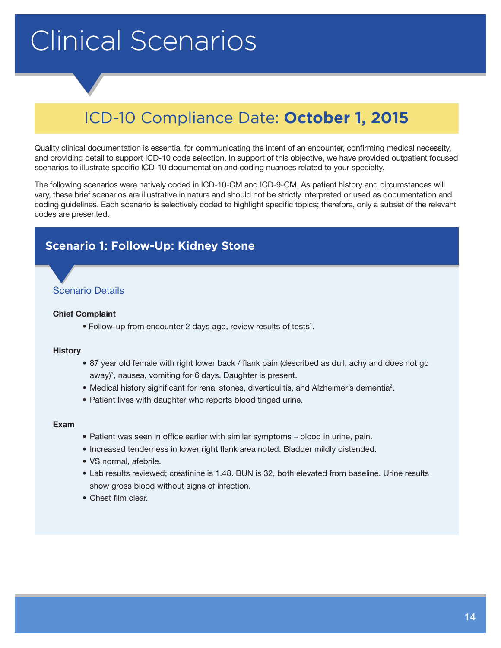# <span id="page-13-0"></span>Clinical Scenarios

# ICD-10 Compliance Date: **October 1, 2015**

Quality clinical documentation is essential for communicating the intent of an encounter, confirming medical necessity, and providing detail to support ICD-10 code selection. In support of this objective, we have provided outpatient focused scenarios to illustrate specific ICD-10 documentation and coding nuances related to your specialty.

The following scenarios were natively coded in ICD-10-CM and ICD-9-CM. As patient history and circumstances will vary, these brief scenarios are illustrative in nature and should not be strictly interpreted or used as documentation and coding guidelines. Each scenario is selectively coded to highlight specific topics; therefore, only a subset of the relevant codes are presented.

### <span id="page-13-1"></span>**Scenario 1: Follow-Up: Kidney Stone**

#### Scenario Details

#### **Chief Complaint**

• Follow-up from encounter 2 days ago, review results of tests<sup>1</sup>.

#### **History**

- 87 year old female with right lower back / flank pain (described as dull, achy and does not go away)<sup>3</sup>, nausea, vomiting for 6 days. Daughter is present.
- Medical history significant for renal stones, diverticulitis, and Alzheimer's dementia<sup>2</sup>.
- Patient lives with daughter who reports blood tinged urine.

#### **Exam**

- Patient was seen in office earlier with similar symptoms blood in urine, pain.
- Increased tenderness in lower right flank area noted. Bladder mildly distended.
- VS normal, afebrile.
- Lab results reviewed; creatinine is 1.48. BUN is 32, both elevated from baseline. Urine results show gross blood without signs of infection.
- Chest film clear.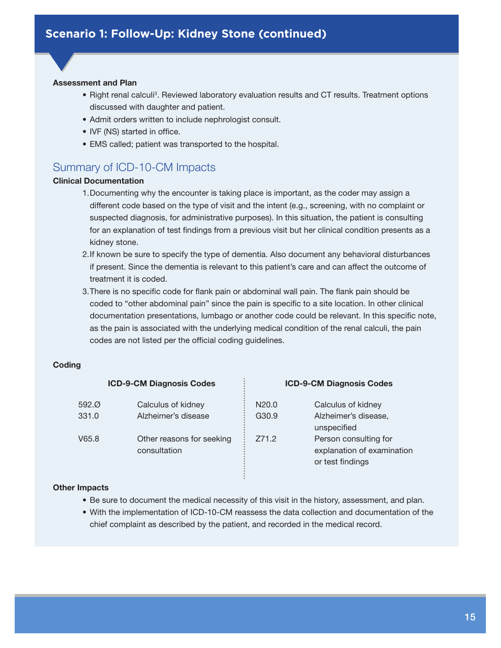#### **Assessment and Plan**

- Right renal calculi<sup>3</sup>. Reviewed laboratory evaluation results and CT results. Treatment options discussed with daughter and patient.
- Admit orders written to include nephrologist consult.
- IVF (NS) started in office.
- EMS called; patient was transported to the hospital.

### Summary of ICD-10-CM Impacts

#### **Clinical Documentation**

- 1.Documenting why the encounter is taking place is important, as the coder may assign a different code based on the type of visit and the intent (e.g., screening, with no complaint or suspected diagnosis, for administrative purposes). In this situation, the patient is consulting for an explanation of test findings from a previous visit but her clinical condition presents as a kidney stone.
- 2.If known be sure to specify the type of dementia. Also document any behavioral disturbances if present. Since the dementia is relevant to this patient's care and can affect the outcome of treatment it is coded.
- 3.There is no specific code for flank pain or abdominal wall pain. The flank pain should be coded to "other abdominal pain" since the pain is specific to a site location. In other clinical documentation presentations, lumbago or another code could be relevant. In this specific note, as the pain is associated with the underlying medical condition of the renal calculi, the pain codes are not listed per the official coding guidelines.

#### **Coding**

| <b>ICD-9-CM Diagnosis Codes</b> |                                           | <b>ICD-9-CM Diagnosis Codes</b> |                                                                         |
|---------------------------------|-------------------------------------------|---------------------------------|-------------------------------------------------------------------------|
| 592.0                           | Calculus of kidney                        | N <sub>20.0</sub>               | Calculus of kidney                                                      |
| 331.0                           | Alzheimer's disease                       | G30.9                           | Alzheimer's disease,<br>unspecified                                     |
| V65.8                           | Other reasons for seeking<br>consultation | Z71.2                           | Person consulting for<br>explanation of examination<br>or test findings |

#### **Other Impacts**

- Be sure to document the medical necessity of this visit in the history, assessment, and plan.
- With the implementation of ICD-10-CM reassess the data collection and documentation of the chief complaint as described by the patient, and recorded in the medical record.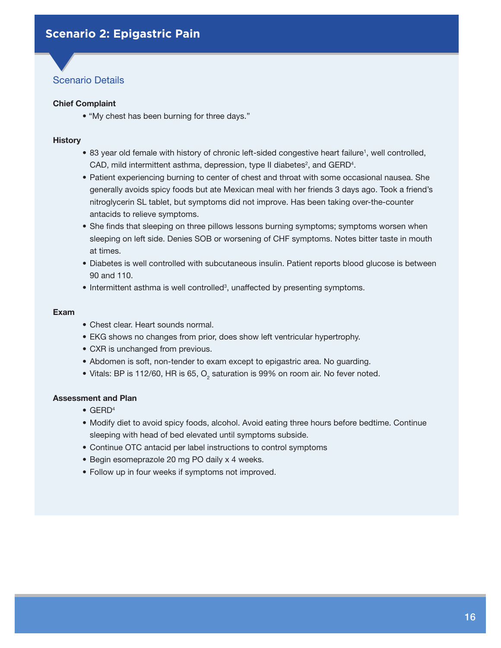#### <span id="page-15-0"></span>**Chief Complaint**

• "My chest has been burning for three days."

#### **History**

- 83 year old female with history of chronic left-sided congestive heart failure<sup>1</sup>, well controlled, CAD, mild intermittent asthma, depression, type II diabetes<sup>2</sup>, and GERD<sup>4</sup>.
- Patient experiencing burning to center of chest and throat with some occasional nausea. She generally avoids spicy foods but ate Mexican meal with her friends 3 days ago. Took a friend's nitroglycerin SL tablet, but symptoms did not improve. Has been taking over-the-counter antacids to relieve symptoms.
- She finds that sleeping on three pillows lessons burning symptoms; symptoms worsen when sleeping on left side. Denies SOB or worsening of CHF symptoms. Notes bitter taste in mouth at times.
- Diabetes is well controlled with subcutaneous insulin. Patient reports blood glucose is between 90 and 110.
- Intermittent asthma is well controlled<sup>3</sup>, unaffected by presenting symptoms.

#### **Exam**

- Chest clear. Heart sounds normal.
- EKG shows no changes from prior, does show left ventricular hypertrophy.
- CXR is unchanged from previous.
- Abdomen is soft, non-tender to exam except to epigastric area. No guarding.
- $\bullet$  Vitals: BP is 112/60, HR is 65,  $\mathrm{O}_2$  saturation is 99% on room air. No fever noted.

- GERD4
- Modify diet to avoid spicy foods, alcohol. Avoid eating three hours before bedtime. Continue sleeping with head of bed elevated until symptoms subside.
- Continue OTC antacid per label instructions to control symptoms
- Begin esomeprazole 20 mg PO daily x 4 weeks.
- Follow up in four weeks if symptoms not improved.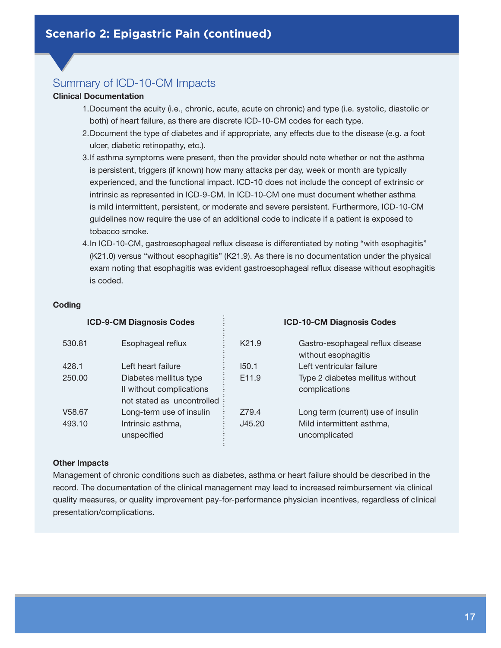#### **Clinical Documentation**

- 1.Document the acuity (i.e., chronic, acute, acute on chronic) and type (i.e. systolic, diastolic or both) of heart failure, as there are discrete ICD-10-CM codes for each type.
- 2.Document the type of diabetes and if appropriate, any effects due to the disease (e.g. a foot ulcer, diabetic retinopathy, etc.).
- 3.If asthma symptoms were present, then the provider should note whether or not the asthma is persistent, triggers (if known) how many attacks per day, week or month are typically experienced, and the functional impact. ICD-10 does not include the concept of extrinsic or intrinsic as represented in ICD-9-CM. In ICD-10-CM one must document whether asthma is mild intermittent, persistent, or moderate and severe persistent. Furthermore, ICD-10-CM guidelines now require the use of an additional code to indicate if a patient is exposed to tobacco smoke.
- 4.In ICD-10-CM, gastroesophageal reflux disease is differentiated by noting "with esophagitis" (K21.0) versus "without esophagitis" (K21.9). As there is no documentation under the physical exam noting that esophagitis was evident gastroesophageal reflux disease without esophagitis is coded.

#### **Coding**

| <b>ICD-9-CM Diagnosis Codes</b> |                                                                                  | <b>ICD-10-CM Diagnosis Codes</b> |                                                         |
|---------------------------------|----------------------------------------------------------------------------------|----------------------------------|---------------------------------------------------------|
| 530.81                          | Esophageal reflux                                                                | K <sub>21.9</sub>                | Gastro-esophageal reflux disease<br>without esophagitis |
| 428.1                           | Left heart failure                                                               | 150.1                            | Left ventricular failure                                |
| 250.00                          | Diabetes mellitus type<br>Il without complications<br>not stated as uncontrolled | E <sub>11.9</sub>                | Type 2 diabetes mellitus without<br>complications       |
| V <sub>58.67</sub>              | Long-term use of insulin                                                         | Z79.4                            | Long term (current) use of insulin                      |
| 493.10                          | Intrinsic asthma,<br>unspecified                                                 | J45.20                           | Mild intermittent asthma,<br>uncomplicated              |

#### **Other Impacts**

Management of chronic conditions such as diabetes, asthma or heart failure should be described in the record. The documentation of the clinical management may lead to increased reimbursement via clinical quality measures, or quality improvement pay-for-performance physician incentives, regardless of clinical presentation/complications.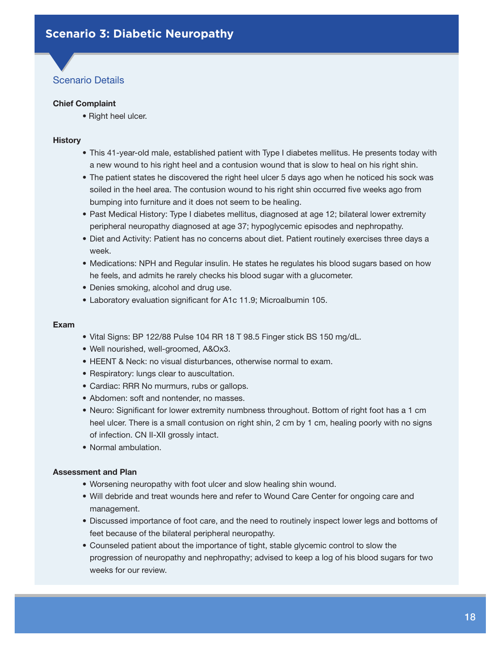#### <span id="page-17-0"></span>**Chief Complaint**

• Right heel ulcer.

#### **History**

- This 41-year-old male, established patient with Type I diabetes mellitus. He presents today with a new wound to his right heel and a contusion wound that is slow to heal on his right shin.
- The patient states he discovered the right heel ulcer 5 days ago when he noticed his sock was soiled in the heel area. The contusion wound to his right shin occurred five weeks ago from bumping into furniture and it does not seem to be healing.
- Past Medical History: Type I diabetes mellitus, diagnosed at age 12; bilateral lower extremity peripheral neuropathy diagnosed at age 37; hypoglycemic episodes and nephropathy.
- Diet and Activity: Patient has no concerns about diet. Patient routinely exercises three days a week.
- Medications: NPH and Regular insulin. He states he regulates his blood sugars based on how he feels, and admits he rarely checks his blood sugar with a glucometer.
- Denies smoking, alcohol and drug use.
- Laboratory evaluation significant for A1c 11.9; Microalbumin 105.

#### **Exam**

- Vital Signs: BP 122/88 Pulse 104 RR 18 T 98.5 Finger stick BS 150 mg/dL.
- Well nourished, well-groomed, A&Ox3.
- HEENT & Neck: no visual disturbances, otherwise normal to exam.
- Respiratory: lungs clear to auscultation.
- Cardiac: RRR No murmurs, rubs or gallops.
- Abdomen: soft and nontender, no masses.
- Neuro: Significant for lower extremity numbness throughout. Bottom of right foot has a 1 cm heel ulcer. There is a small contusion on right shin, 2 cm by 1 cm, healing poorly with no signs of infection. CN II-XII grossly intact.
- Normal ambulation.

- Worsening neuropathy with foot ulcer and slow healing shin wound.
- Will debride and treat wounds here and refer to Wound Care Center for ongoing care and management.
- Discussed importance of foot care, and the need to routinely inspect lower legs and bottoms of feet because of the bilateral peripheral neuropathy.
- Counseled patient about the importance of tight, stable glycemic control to slow the progression of neuropathy and nephropathy; advised to keep a log of his blood sugars for two weeks for our review.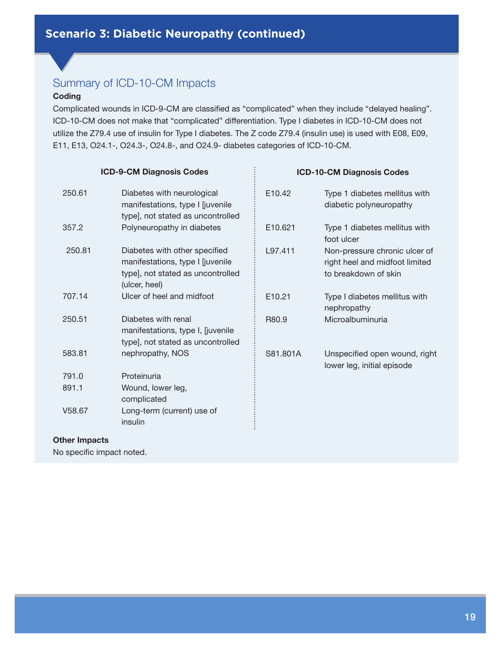#### **Coding**

Complicated wounds in ICD-9-CM are classified as "complicated" when they include "delayed healing". ICD-10-CM does not make that "complicated" differentiation. Type I diabetes in ICD-10-CM does not utilize the Z79.4 use of insulin for Type I diabetes. The Z code Z79.4 (insulin use) is used with E08, E09, E11, E13, O24.1-, O24.3-, O24.8-, and O24.9- diabetes categories of ICD-10-CM.

........

#### **ICD-9-CM Diagnosis Codes**

| 250.61 | Diabetes with neurological<br>manifestations, type I siuvenile<br>type], not stated as uncontrolled                     |
|--------|-------------------------------------------------------------------------------------------------------------------------|
| 357.2  | Polyneuropathy in diabetes                                                                                              |
| 250.81 | Diabetes with other specified<br>manifestations, type I [juvenile<br>type], not stated as uncontrolled<br>(ulcer, heel) |
| 707.14 | Ulcer of heel and midfoot                                                                                               |
| 250.51 | Diabetes with renal<br>manifestations, type I, [juvenile<br>type], not stated as uncontrolled                           |
| 583.81 | nephropathy, NOS                                                                                                        |
| 791.0  | Proteinuria                                                                                                             |
| 891.1  | Wound, lower leg,<br>complicated                                                                                        |
| V58.67 | Long-term (current) use of<br>insulin                                                                                   |

#### **ICD-10-CM Diagnosis Codes**

| E <sub>10.42</sub>  | Type 1 diabetes mellitus with<br>diabetic polyneuropathy                                |
|---------------------|-----------------------------------------------------------------------------------------|
| E <sub>10.621</sub> | Type 1 diabetes mellitus with<br>foot ulcer                                             |
| L97.411             | Non-pressure chronic ulcer of<br>right heel and midfoot limited<br>to breakdown of skin |
| E <sub>10.21</sub>  | Type I diabetes mellitus with<br>nephropathy                                            |
| R <sub>80.9</sub>   | Microalbuminuria                                                                        |
| S81.801A            | Unspecified open wound, right<br>lower leg, initial episode                             |
|                     |                                                                                         |

#### **Other Impacts**

No specific impact noted.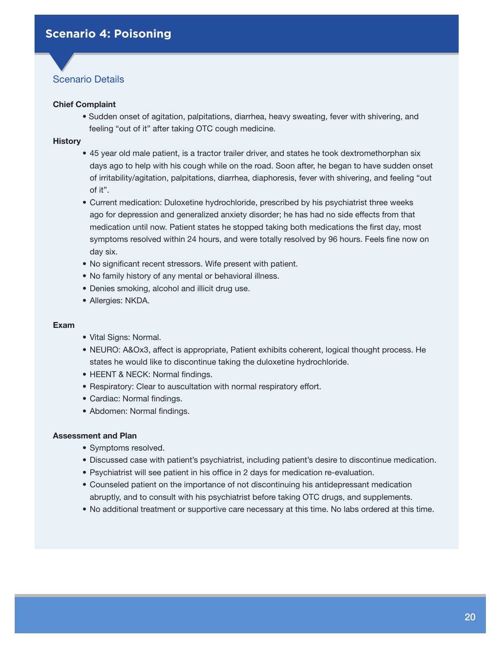#### <span id="page-19-0"></span>**Chief Complaint**

• Sudden onset of agitation, palpitations, diarrhea, heavy sweating, fever with shivering, and feeling "out of it" after taking OTC cough medicine.

#### **History**

- 45 year old male patient, is a tractor trailer driver, and states he took dextromethorphan six days ago to help with his cough while on the road. Soon after, he began to have sudden onset of irritability/agitation, palpitations, diarrhea, diaphoresis, fever with shivering, and feeling "out of it".
- Current medication: Duloxetine hydrochloride, prescribed by his psychiatrist three weeks ago for depression and generalized anxiety disorder; he has had no side effects from that medication until now. Patient states he stopped taking both medications the first day, most symptoms resolved within 24 hours, and were totally resolved by 96 hours. Feels fine now on day six.
- No significant recent stressors. Wife present with patient.
- No family history of any mental or behavioral illness.
- Denies smoking, alcohol and illicit drug use.
- Allergies: NKDA.

#### **Exam**

- Vital Signs: Normal.
- NEURO: A&Ox3, affect is appropriate, Patient exhibits coherent, logical thought process. He states he would like to discontinue taking the duloxetine hydrochloride.
- HEENT & NECK: Normal findings.
- Respiratory: Clear to auscultation with normal respiratory effort.
- Cardiac: Normal findings.
- Abdomen: Normal findings.

- Symptoms resolved.
- Discussed case with patient's psychiatrist, including patient's desire to discontinue medication.
- Psychiatrist will see patient in his office in 2 days for medication re-evaluation.
- Counseled patient on the importance of not discontinuing his antidepressant medication abruptly, and to consult with his psychiatrist before taking OTC drugs, and supplements.
- No additional treatment or supportive care necessary at this time. No labs ordered at this time.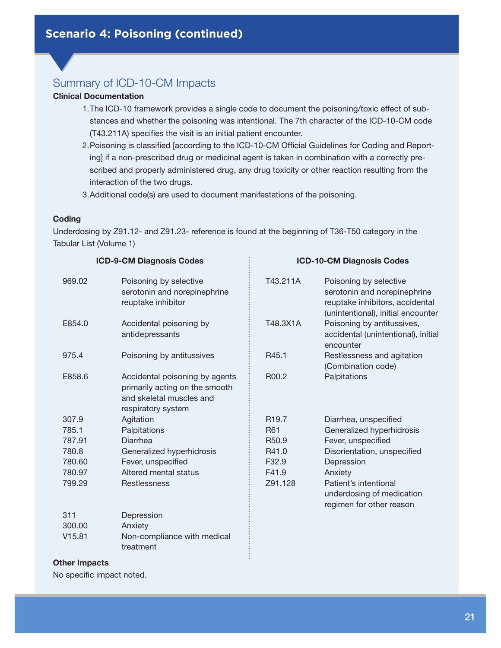#### **Clinical Documentation**

- 1.The ICD-10 framework provides a single code to document the poisoning/toxic effect of substances and whether the poisoning was intentional. The 7th character of the ICD-10-CM code (T43.211A) specifies the visit is an initial patient encounter.
- 2.Poisoning is classified [according to the ICD-10-CM Official Guidelines for Coding and Reporting] if a non-prescribed drug or medicinal agent is taken in combination with a correctly prescribed and properly administered drug, any drug toxicity or other reaction resulting from the interaction of the two drugs.
- 3.Additional code(s) are used to document manifestations of the poisoning.

#### **Coding**

Underdosing by Z91.12- and Z91.23- reference is found at the beginning of T36-T50 category in the Tabular List (Volume 1)

|        | <b>ICD-9-CM Diagnosis Codes</b>                                                                                    |                   | <b>ICD-10-CM Diagnosis Codes</b>                                                                                                |
|--------|--------------------------------------------------------------------------------------------------------------------|-------------------|---------------------------------------------------------------------------------------------------------------------------------|
| 969.02 | Poisoning by selective<br>serotonin and norepinephrine<br>reuptake inhibitor                                       | T43.211A          | Poisoning by selective<br>serotonin and norepinephrine<br>reuptake inhibitors, accidental<br>(unintentional), initial encounter |
| E854.0 | Accidental poisoning by<br>antidepressants                                                                         | T48.3X1A          | Poisoning by antitussives,<br>accidental (unintentional), initial<br>encounter                                                  |
| 975.4  | Poisoning by antitussives                                                                                          | R45.1             | Restlessness and agitation<br>(Combination code)                                                                                |
| E858.6 | Accidental poisoning by agents<br>primarily acting on the smooth<br>and skeletal muscles and<br>respiratory system | R00.2             | Palpitations                                                                                                                    |
| 307.9  | Agitation                                                                                                          | R <sub>19.7</sub> | Diarrhea, unspecified                                                                                                           |
| 785.1  | Palpitations                                                                                                       | R61               | Generalized hyperhidrosis                                                                                                       |
| 787.91 | Diarrhea                                                                                                           | R <sub>50.9</sub> | Fever, unspecified                                                                                                              |
| 780.8  | Generalized hyperhidrosis                                                                                          | R41.0             | Disorientation, unspecified                                                                                                     |
| 780.60 | Fever, unspecified                                                                                                 | F <sub>32.9</sub> | Depression                                                                                                                      |
| 780.97 | Altered mental status                                                                                              | F41.9             | Anxiety                                                                                                                         |
| 799.29 | Restlessness                                                                                                       | Z91.128           | Patient's intentional<br>underdosing of medication<br>regimen for other reason                                                  |
| 311    | Depression                                                                                                         |                   |                                                                                                                                 |
| 300.00 | Anxiety                                                                                                            |                   |                                                                                                                                 |
| V15.81 | Non-compliance with medical<br>treatment                                                                           |                   |                                                                                                                                 |

#### **Other Impacts**

No specific impact noted.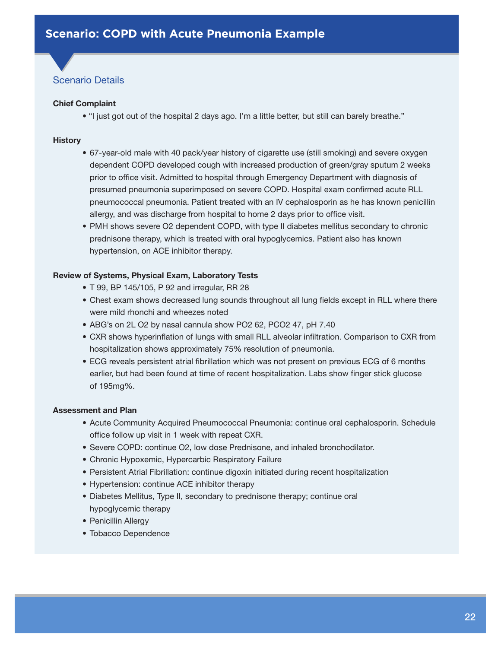#### <span id="page-21-0"></span>**Chief Complaint**

• "I just got out of the hospital 2 days ago. I'm a little better, but still can barely breathe."

#### **History**

- 67-year-old male with 40 pack/year history of cigarette use (still smoking) and severe oxygen dependent COPD developed cough with increased production of green/gray sputum 2 weeks prior to office visit. Admitted to hospital through Emergency Department with diagnosis of presumed pneumonia superimposed on severe COPD. Hospital exam confirmed acute RLL pneumococcal pneumonia. Patient treated with an IV cephalosporin as he has known penicillin allergy, and was discharge from hospital to home 2 days prior to office visit.
- PMH shows severe O2 dependent COPD, with type II diabetes mellitus secondary to chronic prednisone therapy, which is treated with oral hypoglycemics. Patient also has known hypertension, on ACE inhibitor therapy.

#### **Review of Systems, Physical Exam, Laboratory Tests**

- T 99, BP 145/105, P 92 and irregular, RR 28
- Chest exam shows decreased lung sounds throughout all lung fields except in RLL where there were mild rhonchi and wheezes noted
- ABG's on 2L O2 by nasal cannula show PO2 62, PCO2 47, pH 7.40
- CXR shows hyperinflation of lungs with small RLL alveolar infiltration. Comparison to CXR from hospitalization shows approximately 75% resolution of pneumonia.
- ECG reveals persistent atrial fibrillation which was not present on previous ECG of 6 months earlier, but had been found at time of recent hospitalization. Labs show finger stick glucose of 195mg%.

- Acute Community Acquired Pneumococcal Pneumonia: continue oral cephalosporin. Schedule office follow up visit in 1 week with repeat CXR.
- Severe COPD: continue O2, low dose Prednisone, and inhaled bronchodilator.
- Chronic Hypoxemic, Hypercarbic Respiratory Failure
- Persistent Atrial Fibrillation: continue digoxin initiated during recent hospitalization
- Hypertension: continue ACE inhibitor therapy
- Diabetes Mellitus, Type II, secondary to prednisone therapy; continue oral hypoglycemic therapy
- Penicillin Allergy
- Tobacco Dependence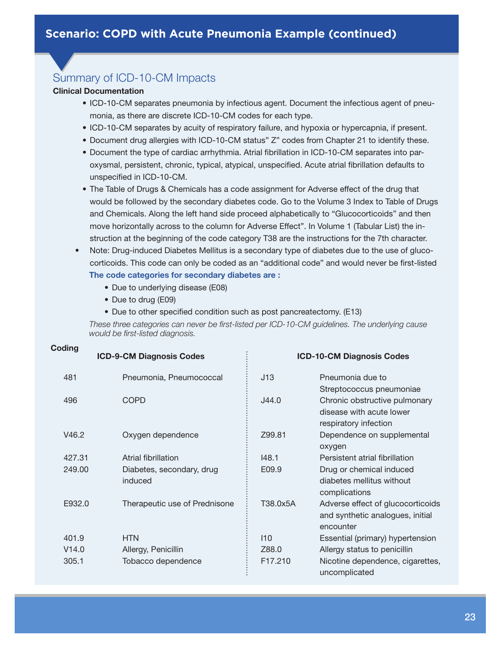#### **Clinical Documentation**

- ICD-10-CM separates pneumonia by infectious agent. Document the infectious agent of pneumonia, as there are discrete ICD-10-CM codes for each type.
- ICD-10-CM separates by acuity of respiratory failure, and hypoxia or hypercapnia, if present.
- Document drug allergies with ICD-10-CM status" Z" codes from Chapter 21 to identify these.
- Document the type of cardiac arrhythmia. Atrial fibrillation in ICD-10-CM separates into paroxysmal, persistent, chronic, typical, atypical, unspecified. Acute atrial fibrillation defaults to unspecified in ICD-10-CM.
- The Table of Drugs & Chemicals has a code assignment for Adverse effect of the drug that would be followed by the secondary diabetes code. Go to the Volume 3 Index to Table of Drugs and Chemicals. Along the left hand side proceed alphabetically to "Glucocorticoids" and then move horizontally across to the column for Adverse Effect". In Volume 1 (Tabular List) the instruction at the beginning of the code category T38 are the instructions for the 7th character.
- Note: Drug-induced Diabetes Mellitus is a secondary type of diabetes due to the use of glucocorticoids. This code can only be coded as an "additional code" and would never be first-listed  **The code categories for secondary diabetes are :**
	- Due to underlying disease (E08)
	- Due to drug (E09)

**Coding**

• Due to other specified condition such as post pancreatectomy. (E13)

 *These three categories can never be first-listed per ICD-10-CM guidelines. The underlying cause would be first-listed diagnosis.*

| vuung  | <b>ICD-9-CM Diagnosis Codes</b>      |          | <b>ICD-10-CM Diagnosis Codes</b>                                                   |
|--------|--------------------------------------|----------|------------------------------------------------------------------------------------|
| 481    | Pneumonia, Pneumococcal              | J13      | Pneumonia due to<br>Streptococcus pneumoniae                                       |
| 496    | <b>COPD</b>                          | J44.0    | Chronic obstructive pulmonary<br>disease with acute lower<br>respiratory infection |
| V46.2  | Oxygen dependence                    | Z99.81   | Dependence on supplemental<br>oxygen                                               |
| 427.31 | Atrial fibrillation                  | 148.1    | Persistent atrial fibrillation                                                     |
| 249.00 | Diabetes, secondary, drug<br>induced | E09.9    | Drug or chemical induced<br>diabetes mellitus without<br>complications             |
| E932.0 | Therapeutic use of Prednisone        | T38.0x5A | Adverse effect of glucocorticoids<br>and synthetic analogues, initial<br>encounter |
| 401.9  | <b>HTN</b>                           | 110      | Essential (primary) hypertension                                                   |
| V14.0  | Allergy, Penicillin                  | Z88.0    | Allergy status to penicillin                                                       |
| 305.1  | Tobacco dependence                   | F17.210  | Nicotine dependence, cigarettes,<br>uncomplicated                                  |

#### 23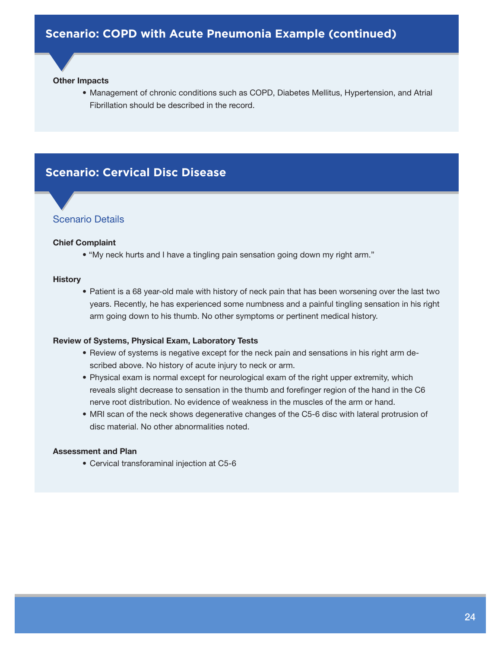#### **Other Impacts**

• Management of chronic conditions such as COPD, Diabetes Mellitus, Hypertension, and Atrial Fibrillation should be described in the record.

### <span id="page-23-0"></span>**Scenario: Cervical Disc Disease**

#### Scenario Details

#### **Chief Complaint**

• "My neck hurts and I have a tingling pain sensation going down my right arm."

#### **History**

• Patient is a 68 year-old male with history of neck pain that has been worsening over the last two years. Recently, he has experienced some numbness and a painful tingling sensation in his right arm going down to his thumb. No other symptoms or pertinent medical history.

#### **Review of Systems, Physical Exam, Laboratory Tests**

- Review of systems is negative except for the neck pain and sensations in his right arm described above. No history of acute injury to neck or arm.
- Physical exam is normal except for neurological exam of the right upper extremity, which reveals slight decrease to sensation in the thumb and forefinger region of the hand in the C6 nerve root distribution. No evidence of weakness in the muscles of the arm or hand.
- MRI scan of the neck shows degenerative changes of the C5-6 disc with lateral protrusion of disc material. No other abnormalities noted.

#### **Assessment and Plan**

• Cervical transforaminal injection at C5-6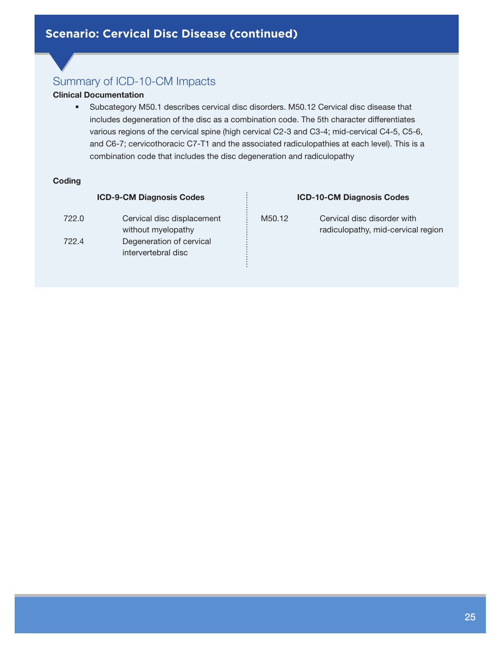#### **Clinical Documentation**

• Subcategory M50.1 describes cervical disc disorders. M50.12 Cervical disc disease that includes degeneration of the disc as a combination code. The 5th character differentiates various regions of the cervical spine (high cervical C2-3 and C3-4; mid-cervical C4-5, C5-6, and C6-7; cervicothoracic C7-T1 and the associated radiculopathies at each level). This is a combination code that includes the disc degeneration and radiculopathy

......

#### **Coding**

#### **ICD-9-CM Diagnosis Codes**

722.0 Cervical disc displacement without myelopathy 722.4 Degeneration of cervical intervertebral disc

# **ICD-10-CM Diagnosis Codes** M50.12 Cervical disc disorder with radiculopathy, mid-cervical region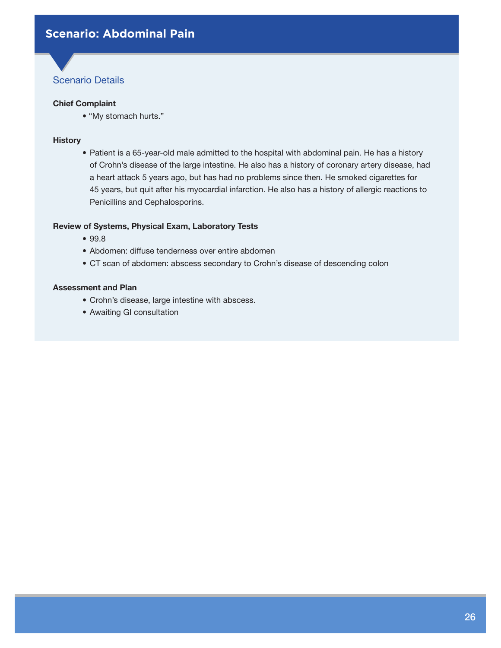#### <span id="page-25-0"></span>**Chief Complaint**

• "My stomach hurts."

#### **History**

• Patient is a 65-year-old male admitted to the hospital with abdominal pain. He has a history of Crohn's disease of the large intestine. He also has a history of coronary artery disease, had a heart attack 5 years ago, but has had no problems since then. He smoked cigarettes for 45 years, but quit after his myocardial infarction. He also has a history of allergic reactions to Penicillins and Cephalosporins.

#### **Review of Systems, Physical Exam, Laboratory Tests**

- 99.8
- Abdomen: diffuse tenderness over entire abdomen
- CT scan of abdomen: abscess secondary to Crohn's disease of descending colon

- Crohn's disease, large intestine with abscess.
- Awaiting GI consultation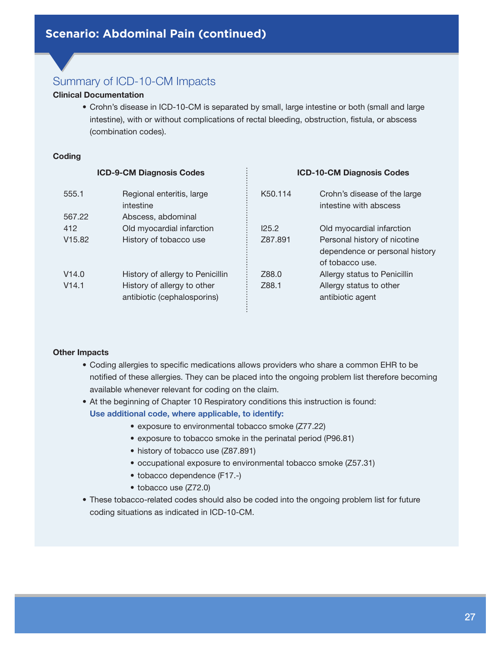#### **Clinical Documentation**

• Crohn's disease in ICD-10-CM is separated by small, large intestine or both (small and large intestine), with or without complications of rectal bleeding, obstruction, fistula, or abscess (combination codes).

#### **Coding**

| <b>ICD-9-CM Diagnosis Codes</b> |                                        | <b>ICD-10-CM Diagnosis Codes</b> |                                                        |
|---------------------------------|----------------------------------------|----------------------------------|--------------------------------------------------------|
| 555.1                           | Regional enteritis, large<br>intestine | K50.114                          | Crohn's disease of the large<br>intestine with abscess |
| 567.22                          | Abscess, abdominal                     |                                  |                                                        |
| 412                             | Old myocardial infarction              | 125.2                            | Old myocardial infarction                              |
| V <sub>15.82</sub>              | History of tobacco use                 | Z87.891                          | Personal history of nicotine                           |
|                                 |                                        |                                  | dependence or personal history                         |
|                                 |                                        |                                  | of tobacco use.                                        |
| V14.0                           | History of allergy to Penicillin       | Z88.0                            | Allergy status to Penicillin                           |
| V14.1                           | History of allergy to other            | Z88.1                            | Allergy status to other                                |
|                                 | antibiotic (cephalosporins)            |                                  | antibiotic agent                                       |

#### **Other Impacts**

- Coding allergies to specific medications allows providers who share a common EHR to be notified of these allergies. They can be placed into the ongoing problem list therefore becoming available whenever relevant for coding on the claim.
- At the beginning of Chapter 10 Respiratory conditions this instruction is found: **Use additional code, where applicable, to identify:**
	- exposure to environmental tobacco smoke (Z77.22)
	- exposure to tobacco smoke in the perinatal period (P96.81)
	- history of tobacco use (Z87.891)
	- occupational exposure to environmental tobacco smoke (Z57.31)
	- tobacco dependence (F17.-)
	- tobacco use (Z72.0)
- These tobacco-related codes should also be coded into the ongoing problem list for future coding situations as indicated in ICD-10-CM.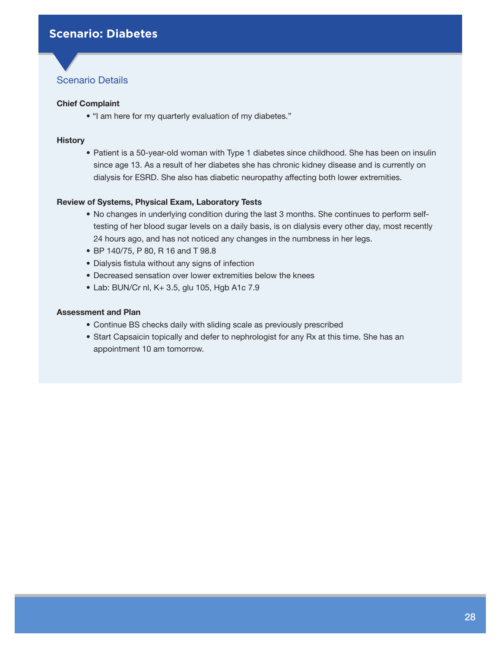#### <span id="page-27-0"></span>**Chief Complaint**

• "I am here for my quarterly evaluation of my diabetes."

#### **History**

• Patient is a 50-year-old woman with Type 1 diabetes since childhood. She has been on insulin since age 13. As a result of her diabetes she has chronic kidney disease and is currently on dialysis for ESRD. She also has diabetic neuropathy affecting both lower extremities.

#### **Review of Systems, Physical Exam, Laboratory Tests**

- No changes in underlying condition during the last 3 months. She continues to perform selftesting of her blood sugar levels on a daily basis, is on dialysis every other day, most recently 24 hours ago, and has not noticed any changes in the numbness in her legs.
- BP 140/75, P 80, R 16 and T 98.8
- Dialysis fistula without any signs of infection
- Decreased sensation over lower extremities below the knees
- Lab: BUN/Cr nl, K+ 3.5, glu 105, Hgb A1c 7.9

- Continue BS checks daily with sliding scale as previously prescribed
- Start Capsaicin topically and defer to nephrologist for any Rx at this time. She has an appointment 10 am tomorrow.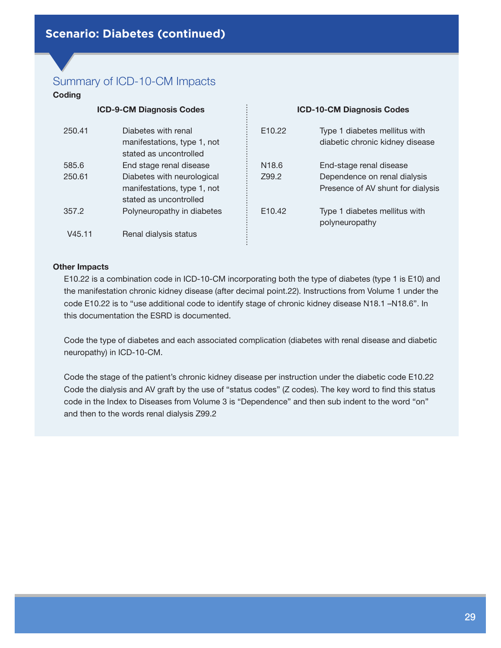#### **Coding**

| <b>ICD-9-CM Diagnosis Codes</b> |                                                                                     |                    | <b>ICD-10-CM Diagnosis Codes</b>                                  |  |
|---------------------------------|-------------------------------------------------------------------------------------|--------------------|-------------------------------------------------------------------|--|
| 250.41                          | Diabetes with renal<br>manifestations, type 1, not<br>stated as uncontrolled        | E <sub>10.22</sub> | Type 1 diabetes mellitus with<br>diabetic chronic kidney disease  |  |
| 585.6                           | End stage renal disease                                                             | N <sub>18.6</sub>  | End-stage renal disease                                           |  |
| 250.61                          | Diabetes with neurological<br>manifestations, type 1, not<br>stated as uncontrolled | Z99.2              | Dependence on renal dialysis<br>Presence of AV shunt for dialysis |  |
| 357.2                           | Polyneuropathy in diabetes                                                          | E <sub>10.42</sub> | Type 1 diabetes mellitus with<br>polyneuropathy                   |  |
| V45.11                          | Renal dialysis status                                                               |                    |                                                                   |  |

#### **Other Impacts**

E10.22 is a combination code in ICD-10-CM incorporating both the type of diabetes (type 1 is E10) and the manifestation chronic kidney disease (after decimal point.22). Instructions from Volume 1 under the code E10.22 is to "use additional code to identify stage of chronic kidney disease N18.1 –N18.6". In this documentation the ESRD is documented.

Code the type of diabetes and each associated complication (diabetes with renal disease and diabetic neuropathy) in ICD-10-CM.

Code the stage of the patient's chronic kidney disease per instruction under the diabetic code E10.22 Code the dialysis and AV graft by the use of "status codes" (Z codes). The key word to find this status code in the Index to Diseases from Volume 3 is "Dependence" and then sub indent to the word "on" and then to the words renal dialysis Z99.2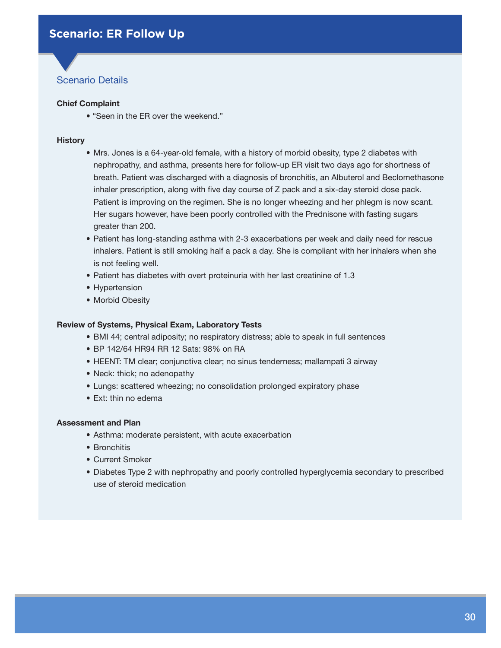#### <span id="page-29-0"></span>**Chief Complaint**

• "Seen in the ER over the weekend."

#### **History**

- Mrs. Jones is a 64-year-old female, with a history of morbid obesity, type 2 diabetes with nephropathy, and asthma, presents here for follow-up ER visit two days ago for shortness of breath. Patient was discharged with a diagnosis of bronchitis, an Albuterol and Beclomethasone inhaler prescription, along with five day course of Z pack and a six-day steroid dose pack. Patient is improving on the regimen. She is no longer wheezing and her phlegm is now scant. Her sugars however, have been poorly controlled with the Prednisone with fasting sugars greater than 200.
- Patient has long-standing asthma with 2-3 exacerbations per week and daily need for rescue inhalers. Patient is still smoking half a pack a day. She is compliant with her inhalers when she is not feeling well.
- Patient has diabetes with overt proteinuria with her last creatinine of 1.3
- Hypertension
- Morbid Obesity

#### **Review of Systems, Physical Exam, Laboratory Tests**

- BMI 44; central adiposity; no respiratory distress; able to speak in full sentences
- BP 142/64 HR94 RR 12 Sats: 98% on RA
- HEENT: TM clear; conjunctiva clear; no sinus tenderness; mallampati 3 airway
- Neck: thick; no adenopathy
- Lungs: scattered wheezing; no consolidation prolonged expiratory phase
- Ext: thin no edema

- Asthma: moderate persistent, with acute exacerbation
- Bronchitis
- Current Smoker
- Diabetes Type 2 with nephropathy and poorly controlled hyperglycemia secondary to prescribed use of steroid medication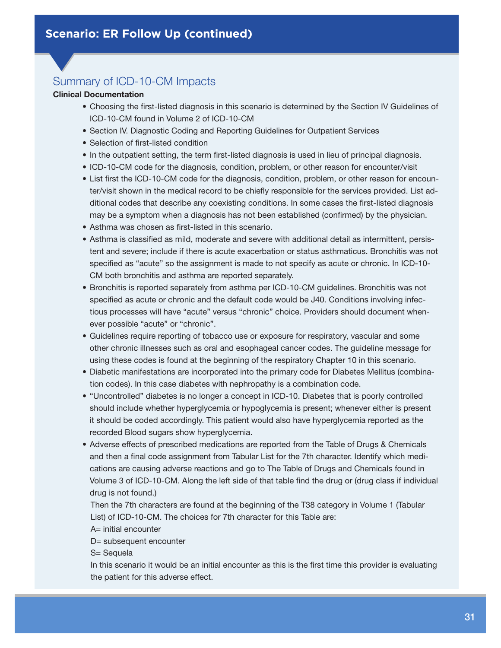#### **Clinical Documentation**

- Choosing the first-listed diagnosis in this scenario is determined by the Section IV Guidelines of ICD-10-CM found in Volume 2 of ICD-10-CM
- Section IV. Diagnostic Coding and Reporting Guidelines for Outpatient Services
- Selection of first-listed condition
- In the outpatient setting, the term first-listed diagnosis is used in lieu of principal diagnosis.
- ICD-10-CM code for the diagnosis, condition, problem, or other reason for encounter/visit
- List first the ICD-10-CM code for the diagnosis, condition, problem, or other reason for encounter/visit shown in the medical record to be chiefly responsible for the services provided. List additional codes that describe any coexisting conditions. In some cases the first-listed diagnosis may be a symptom when a diagnosis has not been established (confirmed) by the physician.
- Asthma was chosen as first-listed in this scenario.
- Asthma is classified as mild, moderate and severe with additional detail as intermittent, persistent and severe; include if there is acute exacerbation or status asthmaticus. Bronchitis was not specified as "acute" so the assignment is made to not specify as acute or chronic. In ICD-10- CM both bronchitis and asthma are reported separately.
- Bronchitis is reported separately from asthma per ICD-10-CM guidelines. Bronchitis was not specified as acute or chronic and the default code would be J40. Conditions involving infectious processes will have "acute" versus "chronic" choice. Providers should document whenever possible "acute" or "chronic".
- Guidelines require reporting of tobacco use or exposure for respiratory, vascular and some other chronic illnesses such as oral and esophageal cancer codes. The guideline message for using these codes is found at the beginning of the respiratory Chapter 10 in this scenario.
- Diabetic manifestations are incorporated into the primary code for Diabetes Mellitus (combination codes). In this case diabetes with nephropathy is a combination code.
- "Uncontrolled" diabetes is no longer a concept in ICD-10. Diabetes that is poorly controlled should include whether hyperglycemia or hypoglycemia is present; whenever either is present it should be coded accordingly. This patient would also have hyperglycemia reported as the recorded Blood sugars show hyperglycemia.
- Adverse effects of prescribed medications are reported from the Table of Drugs & Chemicals and then a final code assignment from Tabular List for the 7th character. Identify which medications are causing adverse reactions and go to The Table of Drugs and Chemicals found in Volume 3 of ICD-10-CM. Along the left side of that table find the drug or (drug class if individual drug is not found.)

Then the 7th characters are found at the beginning of the T38 category in Volume 1 (Tabular List) of ICD-10-CM. The choices for 7th character for this Table are:

A= initial encounter

D= subsequent encounter

S= Sequela

In this scenario it would be an initial encounter as this is the first time this provider is evaluating the patient for this adverse effect.